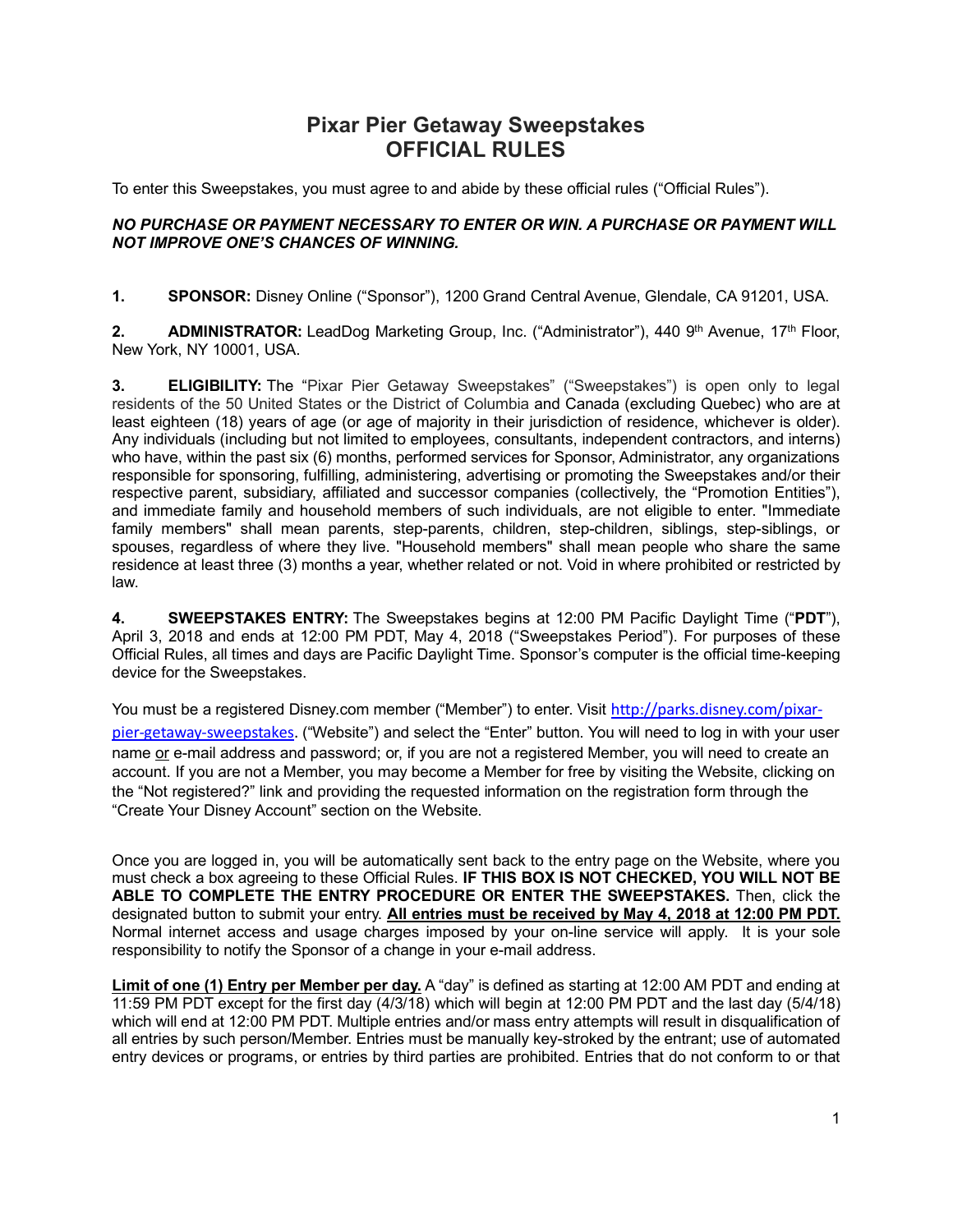## **Pixar Pier Getaway Sweepstakes OFFICIAL RULES**

To enter this Sweepstakes, you must agree to and abide by these official rules ("Official Rules").

## *NO PURCHASE OR PAYMENT NECESSARY TO ENTER OR WIN. A PURCHASE OR PAYMENT WILL NOT IMPROVE ONE'S CHANCES OF WINNING.*

**1. SPONSOR:** Disney Online ("Sponsor"), 1200 Grand Central Avenue, Glendale, CA 91201, USA.

**2. ADMINISTRATOR:** LeadDog Marketing Group, Inc. ("Administrator"), 440 9<sup>th</sup> Avenue, 17<sup>th</sup> Floor, New York, NY 10001, USA.

**3. ELIGIBILITY:** The "Pixar Pier Getaway Sweepstakes" ("Sweepstakes") is open only to legal residents of the 50 United States or the District of Columbia and Canada (excluding Quebec) who are at least eighteen (18) years of age (or age of majority in their jurisdiction of residence, whichever is older). Any individuals (including but not limited to employees, consultants, independent contractors, and interns) who have, within the past six (6) months, performed services for Sponsor, Administrator, any organizations responsible for sponsoring, fulfilling, administering, advertising or promoting the Sweepstakes and/or their respective parent, subsidiary, affiliated and successor companies (collectively, the "Promotion Entities"), and immediate family and household members of such individuals, are not eligible to enter. "Immediate family members" shall mean parents, step-parents, children, step-children, siblings, step-siblings, or spouses, regardless of where they live. "Household members" shall mean people who share the same residence at least three (3) months a year, whether related or not. Void in where prohibited or restricted by law.

**4. SWEEPSTAKES ENTRY:** The Sweepstakes begins at 12:00 PM Pacific Daylight Time ("**PDT**"), April 3, 2018 and ends at 12:00 PM PDT, May 4, 2018 ("Sweepstakes Period"). For purposes of these Official Rules, all times and days are Pacific Daylight Time. Sponsor's computer is the official time-keeping device for the Sweepstakes.

You must be a registered Disney.com member ("Member") to enter. Visit http://parks.disney.com/pixarpier-getaway-sweepstakes. ("Website") and select the "Enter" button. You will need to log in with your user name or e-mail address and password; or, if you are not a registered Member, you will need to create an account. If you are not a Member, you may become a Member for free by visiting the Website, clicking on the "Not registered?" link and providing the requested information on the registration form through the "Create Your Disney Account" section on the Website.

Once you are logged in, you will be automatically sent back to the entry page on the Website, where you must check a box agreeing to these Official Rules. **IF THIS BOX IS NOT CHECKED, YOU WILL NOT BE ABLE TO COMPLETE THE ENTRY PROCEDURE OR ENTER THE SWEEPSTAKES.** Then, click the designated button to submit your entry. **All entries must be received by May 4, 2018 at 12:00 PM PDT.** Normal internet access and usage charges imposed by your on-line service will apply. It is your sole responsibility to notify the Sponsor of a change in your e-mail address.

**Limit of one (1) Entry per Member per day.** A "day" is defined as starting at 12:00 AM PDT and ending at 11:59 PM PDT except for the first day (4/3/18) which will begin at 12:00 PM PDT and the last day (5/4/18) which will end at 12:00 PM PDT. Multiple entries and/or mass entry attempts will result in disqualification of all entries by such person/Member. Entries must be manually key-stroked by the entrant; use of automated entry devices or programs, or entries by third parties are prohibited. Entries that do not conform to or that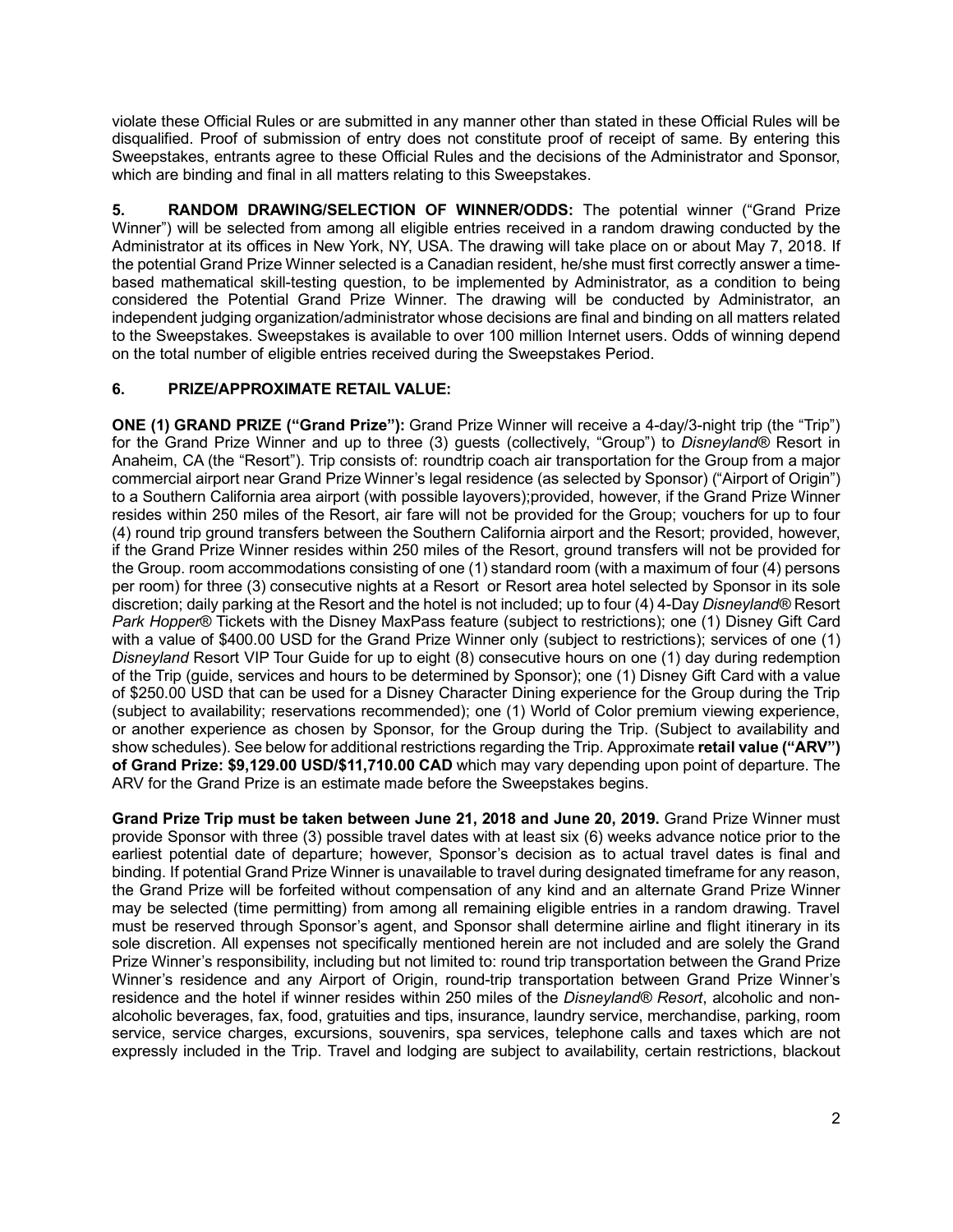violate these Official Rules or are submitted in any manner other than stated in these Official Rules will be disqualified. Proof of submission of entry does not constitute proof of receipt of same. By entering this Sweepstakes, entrants agree to these Official Rules and the decisions of the Administrator and Sponsor, which are binding and final in all matters relating to this Sweepstakes.

**5. RANDOM DRAWING/SELECTION OF WINNER/ODDS:** The potential winner ("Grand Prize Winner") will be selected from among all eligible entries received in a random drawing conducted by the Administrator at its offices in New York, NY, USA. The drawing will take place on or about May 7, 2018. If the potential Grand Prize Winner selected is a Canadian resident, he/she must first correctly answer a timebased mathematical skill-testing question, to be implemented by Administrator, as a condition to being considered the Potential Grand Prize Winner. The drawing will be conducted by Administrator, an independent judging organization/administrator whose decisions are final and binding on all matters related to the Sweepstakes. Sweepstakes is available to over 100 million Internet users. Odds of winning depend on the total number of eligible entries received during the Sweepstakes Period.

## **6. PRIZE/APPROXIMATE RETAIL VALUE:**

**ONE (1) GRAND PRIZE ("Grand Prize"):** Grand Prize Winner will receive a 4-day/3-night trip (the "Trip") for the Grand Prize Winner and up to three (3) guests (collectively, "Group") to *Disneyland®* Resort in Anaheim, CA (the "Resort"). Trip consists of: roundtrip coach air transportation for the Group from a major commercial airport near Grand Prize Winner's legal residence (as selected by Sponsor) ("Airport of Origin") to a Southern California area airport (with possible layovers);provided, however, if the Grand Prize Winner resides within 250 miles of the Resort, air fare will not be provided for the Group; vouchers for up to four (4) round trip ground transfers between the Southern California airport and the Resort; provided, however, if the Grand Prize Winner resides within 250 miles of the Resort, ground transfers will not be provided for the Group. room accommodations consisting of one (1) standard room (with a maximum of four (4) persons per room) for three (3) consecutive nights at a Resort or Resort area hotel selected by Sponsor in its sole discretion; daily parking at the Resort and the hotel is not included; up to four (4) 4-Day *Disneyland®* Resort *Park Hopper*® Tickets with the Disney MaxPass feature (subject to restrictions); one (1) Disney Gift Card with a value of \$400.00 USD for the Grand Prize Winner only (subject to restrictions); services of one (1) *Disneyland* Resort VIP Tour Guide for up to eight (8) consecutive hours on one (1) day during redemption of the Trip (guide, services and hours to be determined by Sponsor); one (1) Disney Gift Card with a value of \$250.00 USD that can be used for a Disney Character Dining experience for the Group during the Trip (subject to availability; reservations recommended); one (1) World of Color premium viewing experience, or another experience as chosen by Sponsor, for the Group during the Trip. (Subject to availability and show schedules). See below for additional restrictions regarding the Trip. Approximate **retail value ("ARV") of Grand Prize: \$9,129.00 USD/\$11,710.00 CAD** which may vary depending upon point of departure. The ARV for the Grand Prize is an estimate made before the Sweepstakes begins.

**Grand Prize Trip must be taken between June 21, 2018 and June 20, 2019.** Grand Prize Winner must provide Sponsor with three (3) possible travel dates with at least six (6) weeks advance notice prior to the earliest potential date of departure; however, Sponsor's decision as to actual travel dates is final and binding. If potential Grand Prize Winner is unavailable to travel during designated timeframe for any reason, the Grand Prize will be forfeited without compensation of any kind and an alternate Grand Prize Winner may be selected (time permitting) from among all remaining eligible entries in a random drawing. Travel must be reserved through Sponsor's agent, and Sponsor shall determine airline and flight itinerary in its sole discretion. All expenses not specifically mentioned herein are not included and are solely the Grand Prize Winner's responsibility, including but not limited to: round trip transportation between the Grand Prize Winner's residence and any Airport of Origin, round-trip transportation between Grand Prize Winner's residence and the hotel if winner resides within 250 miles of the *Disneyland® Resort*, alcoholic and nonalcoholic beverages, fax, food, gratuities and tips, insurance, laundry service, merchandise, parking, room service, service charges, excursions, souvenirs, spa services, telephone calls and taxes which are not expressly included in the Trip. Travel and lodging are subject to availability, certain restrictions, blackout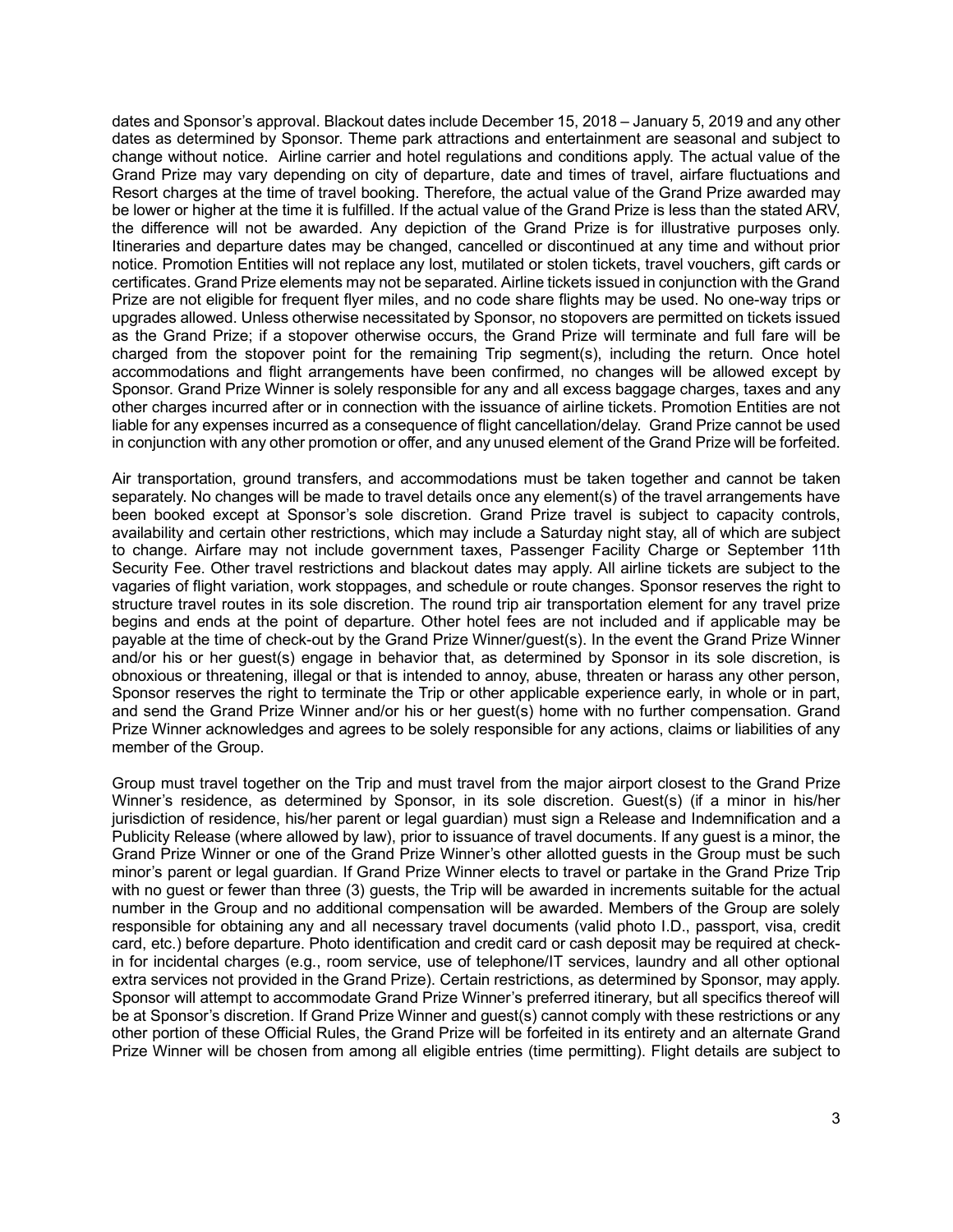dates and Sponsor's approval. Blackout dates include December 15, 2018 – January 5, 2019 and any other dates as determined by Sponsor. Theme park attractions and entertainment are seasonal and subject to change without notice. Airline carrier and hotel regulations and conditions apply. The actual value of the Grand Prize may vary depending on city of departure, date and times of travel, airfare fluctuations and Resort charges at the time of travel booking. Therefore, the actual value of the Grand Prize awarded may be lower or higher at the time it is fulfilled. If the actual value of the Grand Prize is less than the stated ARV, the difference will not be awarded. Any depiction of the Grand Prize is for illustrative purposes only. Itineraries and departure dates may be changed, cancelled or discontinued at any time and without prior notice. Promotion Entities will not replace any lost, mutilated or stolen tickets, travel vouchers, gift cards or certificates. Grand Prize elements may not be separated. Airline tickets issued in conjunction with the Grand Prize are not eligible for frequent flyer miles, and no code share flights may be used. No one-way trips or upgrades allowed. Unless otherwise necessitated by Sponsor, no stopovers are permitted on tickets issued as the Grand Prize; if a stopover otherwise occurs, the Grand Prize will terminate and full fare will be charged from the stopover point for the remaining Trip segment(s), including the return. Once hotel accommodations and flight arrangements have been confirmed, no changes will be allowed except by Sponsor. Grand Prize Winner is solely responsible for any and all excess baggage charges, taxes and any other charges incurred after or in connection with the issuance of airline tickets. Promotion Entities are not liable for any expenses incurred as a consequence of flight cancellation/delay. Grand Prize cannot be used in conjunction with any other promotion or offer, and any unused element of the Grand Prize will be forfeited.

Air transportation, ground transfers, and accommodations must be taken together and cannot be taken separately. No changes will be made to travel details once any element(s) of the travel arrangements have been booked except at Sponsor's sole discretion. Grand Prize travel is subject to capacity controls, availability and certain other restrictions, which may include a Saturday night stay, all of which are subject to change. Airfare may not include government taxes, Passenger Facility Charge or September 11th Security Fee. Other travel restrictions and blackout dates may apply. All airline tickets are subject to the vagaries of flight variation, work stoppages, and schedule or route changes. Sponsor reserves the right to structure travel routes in its sole discretion. The round trip air transportation element for any travel prize begins and ends at the point of departure. Other hotel fees are not included and if applicable may be payable at the time of check-out by the Grand Prize Winner/guest(s). In the event the Grand Prize Winner and/or his or her guest(s) engage in behavior that, as determined by Sponsor in its sole discretion, is obnoxious or threatening, illegal or that is intended to annoy, abuse, threaten or harass any other person, Sponsor reserves the right to terminate the Trip or other applicable experience early, in whole or in part, and send the Grand Prize Winner and/or his or her guest(s) home with no further compensation. Grand Prize Winner acknowledges and agrees to be solely responsible for any actions, claims or liabilities of any member of the Group.

Group must travel together on the Trip and must travel from the major airport closest to the Grand Prize Winner's residence, as determined by Sponsor, in its sole discretion. Guest(s) (if a minor in his/her jurisdiction of residence, his/her parent or legal guardian) must sign a Release and Indemnification and a Publicity Release (where allowed by law), prior to issuance of travel documents. If any guest is a minor, the Grand Prize Winner or one of the Grand Prize Winner's other allotted guests in the Group must be such minor's parent or legal guardian. If Grand Prize Winner elects to travel or partake in the Grand Prize Trip with no guest or fewer than three (3) guests, the Trip will be awarded in increments suitable for the actual number in the Group and no additional compensation will be awarded. Members of the Group are solely responsible for obtaining any and all necessary travel documents (valid photo I.D., passport, visa, credit card, etc.) before departure. Photo identification and credit card or cash deposit may be required at checkin for incidental charges (e.g., room service, use of telephone/IT services, laundry and all other optional extra services not provided in the Grand Prize). Certain restrictions, as determined by Sponsor, may apply. Sponsor will attempt to accommodate Grand Prize Winner's preferred itinerary, but all specifics thereof will be at Sponsor's discretion. If Grand Prize Winner and guest(s) cannot comply with these restrictions or any other portion of these Official Rules, the Grand Prize will be forfeited in its entirety and an alternate Grand Prize Winner will be chosen from among all eligible entries (time permitting). Flight details are subject to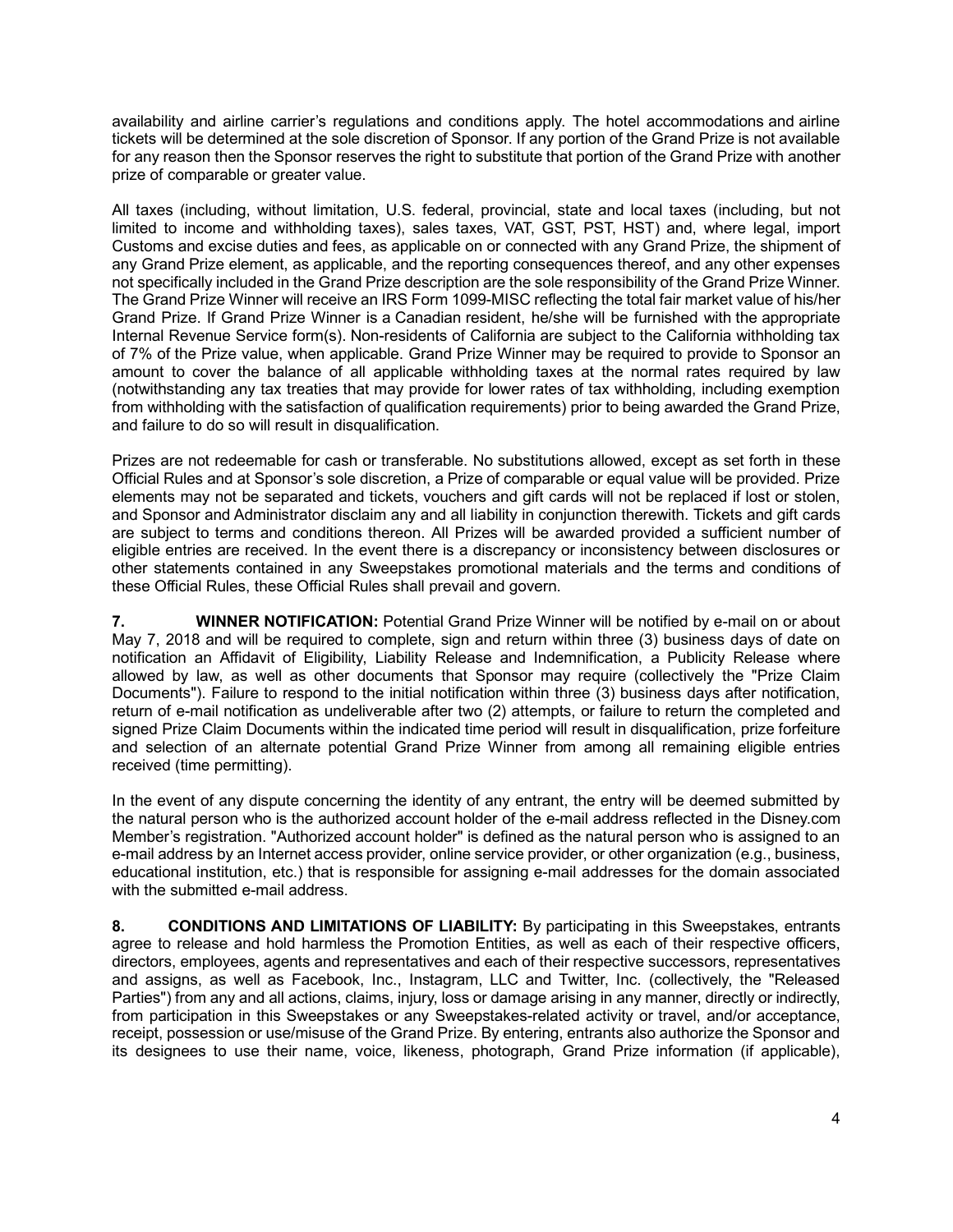availability and airline carrier's regulations and conditions apply. The hotel accommodations and airline tickets will be determined at the sole discretion of Sponsor. If any portion of the Grand Prize is not available for any reason then the Sponsor reserves the right to substitute that portion of the Grand Prize with another prize of comparable or greater value.

All taxes (including, without limitation, U.S. federal, provincial, state and local taxes (including, but not limited to income and withholding taxes), sales taxes, VAT, GST, PST, HST) and, where legal, import Customs and excise duties and fees, as applicable on or connected with any Grand Prize, the shipment of any Grand Prize element, as applicable, and the reporting consequences thereof, and any other expenses not specifically included in the Grand Prize description are the sole responsibility of the Grand Prize Winner. The Grand Prize Winner will receive an IRS Form 1099-MISC reflecting the total fair market value of his/her Grand Prize. If Grand Prize Winner is a Canadian resident, he/she will be furnished with the appropriate Internal Revenue Service form(s). Non-residents of California are subject to the California withholding tax of 7% of the Prize value, when applicable. Grand Prize Winner may be required to provide to Sponsor an amount to cover the balance of all applicable withholding taxes at the normal rates required by law (notwithstanding any tax treaties that may provide for lower rates of tax withholding, including exemption from withholding with the satisfaction of qualification requirements) prior to being awarded the Grand Prize, and failure to do so will result in disqualification.

Prizes are not redeemable for cash or transferable. No substitutions allowed, except as set forth in these Official Rules and at Sponsor's sole discretion, a Prize of comparable or equal value will be provided. Prize elements may not be separated and tickets, vouchers and gift cards will not be replaced if lost or stolen, and Sponsor and Administrator disclaim any and all liability in conjunction therewith. Tickets and gift cards are subject to terms and conditions thereon. All Prizes will be awarded provided a sufficient number of eligible entries are received. In the event there is a discrepancy or inconsistency between disclosures or other statements contained in any Sweepstakes promotional materials and the terms and conditions of these Official Rules, these Official Rules shall prevail and govern.

**7. WINNER NOTIFICATION:** Potential Grand Prize Winner will be notified by e-mail on or about May 7, 2018 and will be required to complete, sign and return within three (3) business days of date on notification an Affidavit of Eligibility, Liability Release and Indemnification, a Publicity Release where allowed by law, as well as other documents that Sponsor may require (collectively the "Prize Claim Documents"). Failure to respond to the initial notification within three (3) business days after notification, return of e-mail notification as undeliverable after two (2) attempts, or failure to return the completed and signed Prize Claim Documents within the indicated time period will result in disqualification, prize forfeiture and selection of an alternate potential Grand Prize Winner from among all remaining eligible entries received (time permitting).

In the event of any dispute concerning the identity of any entrant, the entry will be deemed submitted by the natural person who is the authorized account holder of the e-mail address reflected in the Disney.com Member's registration. "Authorized account holder" is defined as the natural person who is assigned to an e-mail address by an Internet access provider, online service provider, or other organization (e.g., business, educational institution, etc.) that is responsible for assigning e-mail addresses for the domain associated with the submitted e-mail address.

**8. CONDITIONS AND LIMITATIONS OF LIABILITY:** By participating in this Sweepstakes, entrants agree to release and hold harmless the Promotion Entities, as well as each of their respective officers, directors, employees, agents and representatives and each of their respective successors, representatives and assigns, as well as Facebook, Inc., Instagram, LLC and Twitter, Inc. (collectively, the "Released Parties") from any and all actions, claims, injury, loss or damage arising in any manner, directly or indirectly, from participation in this Sweepstakes or any Sweepstakes-related activity or travel, and/or acceptance, receipt, possession or use/misuse of the Grand Prize. By entering, entrants also authorize the Sponsor and its designees to use their name, voice, likeness, photograph, Grand Prize information (if applicable),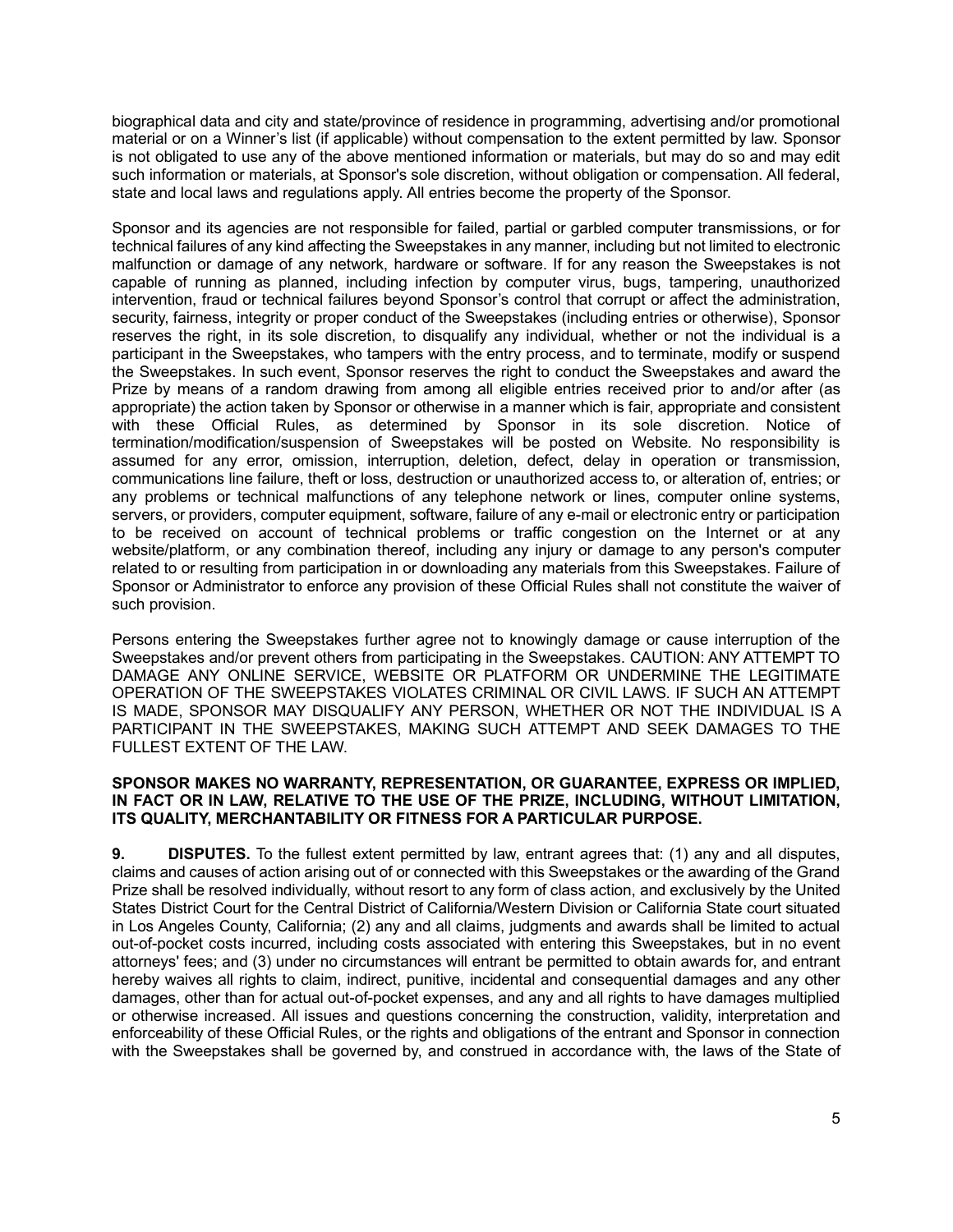biographical data and city and state/province of residence in programming, advertising and/or promotional material or on a Winner's list (if applicable) without compensation to the extent permitted by law. Sponsor is not obligated to use any of the above mentioned information or materials, but may do so and may edit such information or materials, at Sponsor's sole discretion, without obligation or compensation. All federal, state and local laws and regulations apply. All entries become the property of the Sponsor.

Sponsor and its agencies are not responsible for failed, partial or garbled computer transmissions, or for technical failures of any kind affecting the Sweepstakes in any manner, including but not limited to electronic malfunction or damage of any network, hardware or software. If for any reason the Sweepstakes is not capable of running as planned, including infection by computer virus, bugs, tampering, unauthorized intervention, fraud or technical failures beyond Sponsor's control that corrupt or affect the administration, security, fairness, integrity or proper conduct of the Sweepstakes (including entries or otherwise), Sponsor reserves the right, in its sole discretion, to disqualify any individual, whether or not the individual is a participant in the Sweepstakes, who tampers with the entry process, and to terminate, modify or suspend the Sweepstakes. In such event, Sponsor reserves the right to conduct the Sweepstakes and award the Prize by means of a random drawing from among all eligible entries received prior to and/or after (as appropriate) the action taken by Sponsor or otherwise in a manner which is fair, appropriate and consistent with these Official Rules, as determined by Sponsor in its sole discretion. Notice of termination/modification/suspension of Sweepstakes will be posted on Website. No responsibility is assumed for any error, omission, interruption, deletion, defect, delay in operation or transmission, communications line failure, theft or loss, destruction or unauthorized access to, or alteration of, entries; or any problems or technical malfunctions of any telephone network or lines, computer online systems, servers, or providers, computer equipment, software, failure of any e-mail or electronic entry or participation to be received on account of technical problems or traffic congestion on the Internet or at any website/platform, or any combination thereof, including any injury or damage to any person's computer related to or resulting from participation in or downloading any materials from this Sweepstakes. Failure of Sponsor or Administrator to enforce any provision of these Official Rules shall not constitute the waiver of such provision.

Persons entering the Sweepstakes further agree not to knowingly damage or cause interruption of the Sweepstakes and/or prevent others from participating in the Sweepstakes. CAUTION: ANY ATTEMPT TO DAMAGE ANY ONLINE SERVICE, WEBSITE OR PLATFORM OR UNDERMINE THE LEGITIMATE OPERATION OF THE SWEEPSTAKES VIOLATES CRIMINAL OR CIVIL LAWS. IF SUCH AN ATTEMPT IS MADE, SPONSOR MAY DISQUALIFY ANY PERSON, WHETHER OR NOT THE INDIVIDUAL IS A PARTICIPANT IN THE SWEEPSTAKES, MAKING SUCH ATTEMPT AND SEEK DAMAGES TO THE FULLEST EXTENT OF THE LAW.

## **SPONSOR MAKES NO WARRANTY, REPRESENTATION, OR GUARANTEE, EXPRESS OR IMPLIED, IN FACT OR IN LAW, RELATIVE TO THE USE OF THE PRIZE, INCLUDING, WITHOUT LIMITATION, ITS QUALITY, MERCHANTABILITY OR FITNESS FOR A PARTICULAR PURPOSE.**

**9. DISPUTES.** To the fullest extent permitted by law, entrant agrees that: (1) any and all disputes, claims and causes of action arising out of or connected with this Sweepstakes or the awarding of the Grand Prize shall be resolved individually, without resort to any form of class action, and exclusively by the United States District Court for the Central District of California/Western Division or California State court situated in Los Angeles County, California; (2) any and all claims, judgments and awards shall be limited to actual out-of-pocket costs incurred, including costs associated with entering this Sweepstakes, but in no event attorneys' fees; and (3) under no circumstances will entrant be permitted to obtain awards for, and entrant hereby waives all rights to claim, indirect, punitive, incidental and consequential damages and any other damages, other than for actual out-of-pocket expenses, and any and all rights to have damages multiplied or otherwise increased. All issues and questions concerning the construction, validity, interpretation and enforceability of these Official Rules, or the rights and obligations of the entrant and Sponsor in connection with the Sweepstakes shall be governed by, and construed in accordance with, the laws of the State of